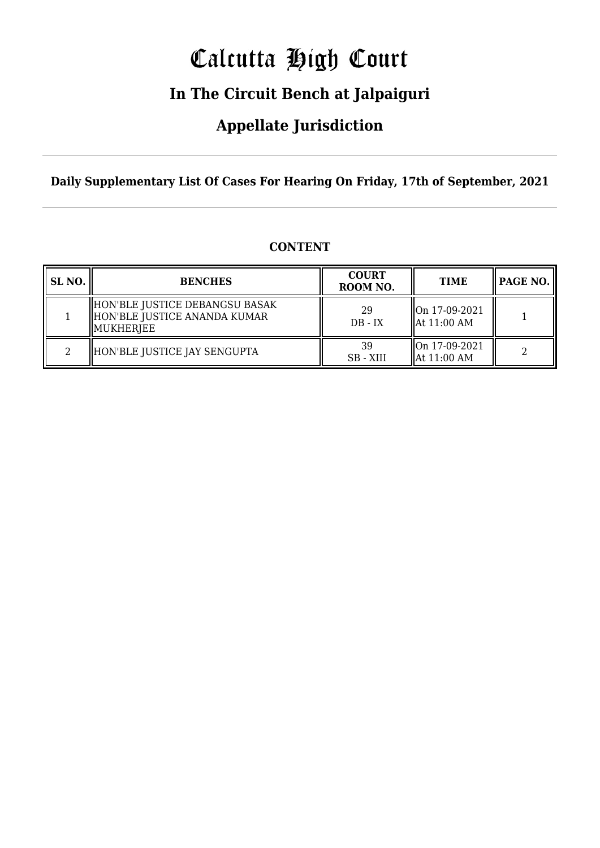# Calcutta High Court

### **In The Circuit Bench at Jalpaiguri**

### **Appellate Jurisdiction**

**Daily Supplementary List Of Cases For Hearing On Friday, 17th of September, 2021**

| SL NO. | <b>BENCHES</b>                                                                | <b>COURT</b><br>ROOM NO. | <b>TIME</b>                                        | $\parallel$ PAGE NO. |
|--------|-------------------------------------------------------------------------------|--------------------------|----------------------------------------------------|----------------------|
|        | HON'BLE JUSTICE DEBANGSU BASAK<br>HON'BLE JUSTICE ANANDA KUMAR<br>  MUKHERJEE | 29<br>$DB - IX$          | $\sqrt{\text{On } 17 - 09 - 2021}$<br>HAt 11:00 AM |                      |

2 HON'BLE JUSTICE JAY SENGUPTA  $\begin{array}{ccc} 39 & & 39 \\ \hline \end{array}$ 

### **CONTENT**

SB - XIII

On 17-09-2021

 $\begin{array}{c|c}\n\text{On 17-09-2021} \\
\text{At 11:00 AM}\n\end{array}$  2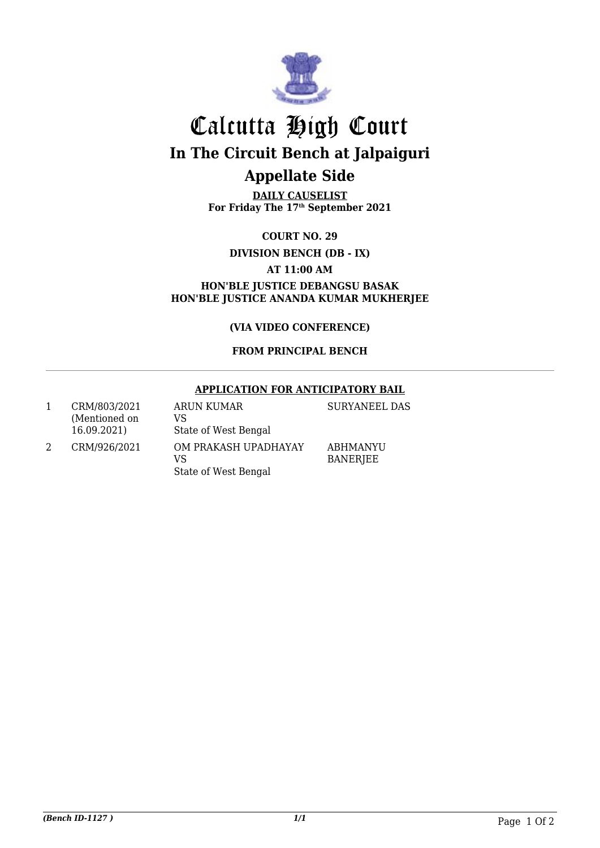

## Calcutta High Court **In The Circuit Bench at Jalpaiguri Appellate Side**

**DAILY CAUSELIST For Friday The 17th September 2021**

**COURT NO. 29**

**DIVISION BENCH (DB - IX)**

**AT 11:00 AM**

**HON'BLE JUSTICE DEBANGSU BASAK HON'BLE JUSTICE ANANDA KUMAR MUKHERJEE**

**(VIA VIDEO CONFERENCE)**

### **FROM PRINCIPAL BENCH**

### **APPLICATION FOR ANTICIPATORY BAIL**

1 CRM/803/2021 (Mentioned on 16.09.2021) ARUN KUMAR VS State of West Bengal 2 CRM/926/2021 OM PRAKASH UPADHAYAY

VS

State of West Bengal

ABHMANYU BANERJEE

SURYANEEL DAS